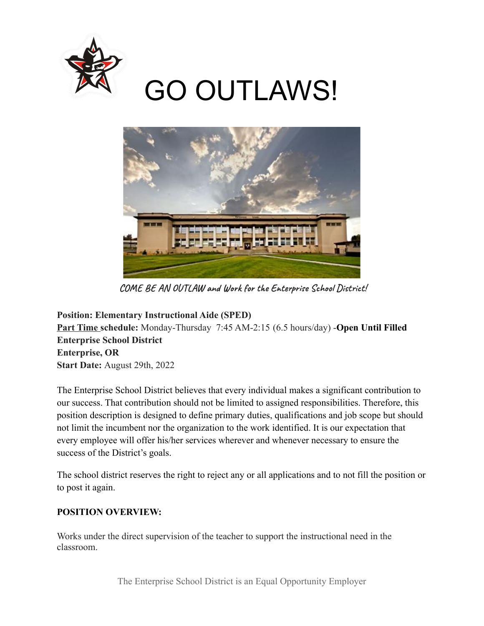

# GO OUTLAWS!



**COME BE AN OUTLAW and Work for the Enterprise School District!**

**Position: Elementary Instructional Aide (SPED) Part Time schedule:** Monday-Thursday 7:45 AM-2:15 (6.5 hours/day) -**Open Until Filled Enterprise School District Enterprise, OR Start Date:** August 29th, 2022

The Enterprise School District believes that every individual makes a significant contribution to our success. That contribution should not be limited to assigned responsibilities. Therefore, this position description is designed to define primary duties, qualifications and job scope but should not limit the incumbent nor the organization to the work identified. It is our expectation that every employee will offer his/her services wherever and whenever necessary to ensure the success of the District's goals.

The school district reserves the right to reject any or all applications and to not fill the position or to post it again.

# **POSITION OVERVIEW:**

Works under the direct supervision of the teacher to support the instructional need in the classroom.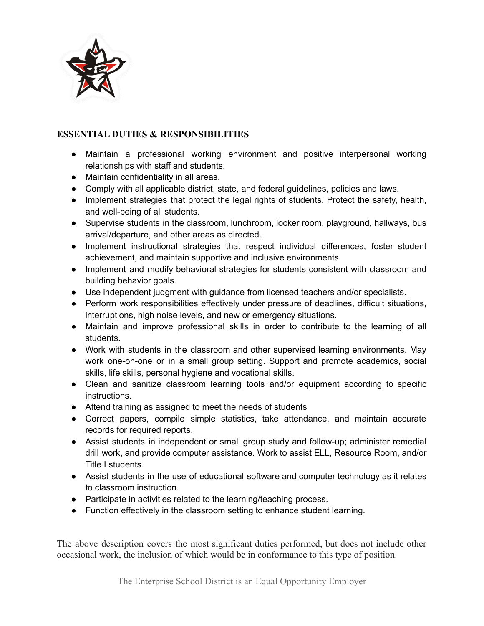

## **ESSENTIAL DUTIES & RESPONSIBILITIES**

- Maintain a professional working environment and positive interpersonal working relationships with staff and students.
- Maintain confidentiality in all areas.
- Comply with all applicable district, state, and federal guidelines, policies and laws.
- Implement strategies that protect the legal rights of students. Protect the safety, health, and well-being of all students.
- Supervise students in the classroom, lunchroom, locker room, playground, hallways, bus arrival/departure, and other areas as directed.
- Implement instructional strategies that respect individual differences, foster student achievement, and maintain supportive and inclusive environments.
- Implement and modify behavioral strategies for students consistent with classroom and building behavior goals.
- Use independent judgment with guidance from licensed teachers and/or specialists.
- Perform work responsibilities effectively under pressure of deadlines, difficult situations, interruptions, high noise levels, and new or emergency situations.
- Maintain and improve professional skills in order to contribute to the learning of all students.
- Work with students in the classroom and other supervised learning environments. May work one-on-one or in a small group setting. Support and promote academics, social skills, life skills, personal hygiene and vocational skills.
- Clean and sanitize classroom learning tools and/or equipment according to specific instructions.
- Attend training as assigned to meet the needs of students
- Correct papers, compile simple statistics, take attendance, and maintain accurate records for required reports.
- Assist students in independent or small group study and follow-up; administer remedial drill work, and provide computer assistance. Work to assist ELL, Resource Room, and/or Title I students.
- Assist students in the use of educational software and computer technology as it relates to classroom instruction.
- Participate in activities related to the learning/teaching process.
- Function effectively in the classroom setting to enhance student learning.

The above description covers the most significant duties performed, but does not include other occasional work, the inclusion of which would be in conformance to this type of position.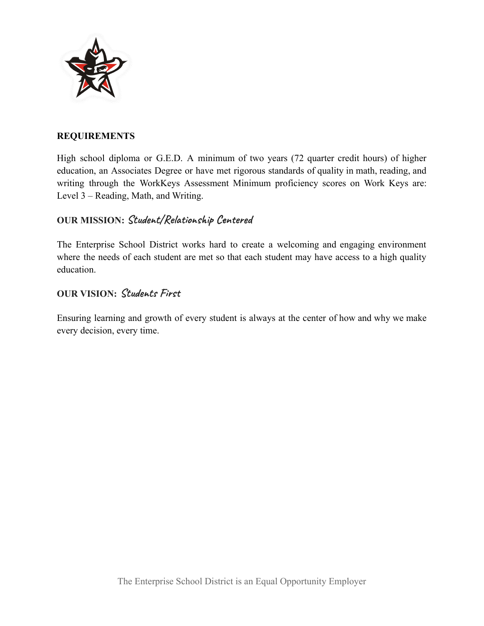

#### **REQUIREMENTS**

High school diploma or G.E.D. A minimum of two years (72 quarter credit hours) of higher education, an Associates Degree or have met rigorous standards of quality in math, reading, and writing through the WorkKeys Assessment Minimum proficiency scores on Work Keys are: Level 3 – Reading, Math, and Writing.

## **OUR MISSION: Student/Relationship Centered**

The Enterprise School District works hard to create a welcoming and engaging environment where the needs of each student are met so that each student may have access to a high quality education.

## **OUR VISION: Students First**

Ensuring learning and growth of every student is always at the center of how and why we make every decision, every time.